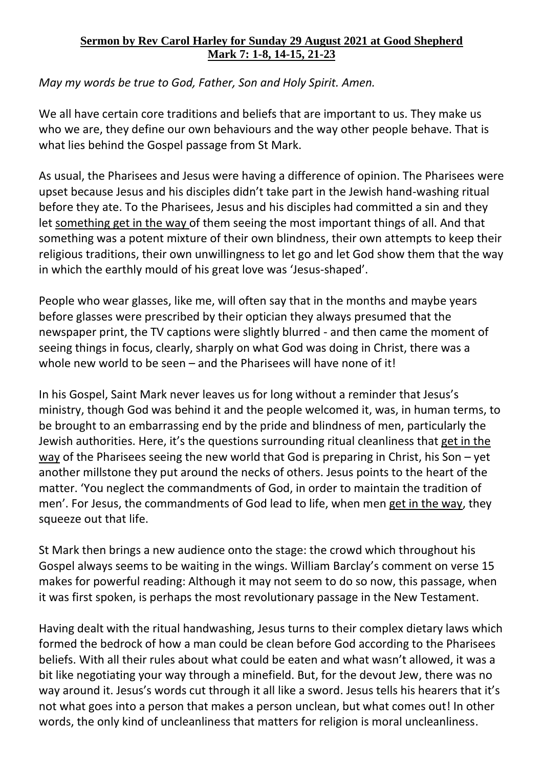## **Sermon by Rev Carol Harley for Sunday 29 August 2021 at Good Shepherd Mark 7: 1-8, 14-15, 21-23**

*May my words be true to God, Father, Son and Holy Spirit. Amen.* 

We all have certain core traditions and beliefs that are important to us. They make us who we are, they define our own behaviours and the way other people behave. That is what lies behind the Gospel passage from St Mark.

As usual, the Pharisees and Jesus were having a difference of opinion. The Pharisees were upset because Jesus and his disciples didn't take part in the Jewish hand-washing ritual before they ate. To the Pharisees, Jesus and his disciples had committed a sin and they let something get in the way of them seeing the most important things of all. And that something was a potent mixture of their own blindness, their own attempts to keep their religious traditions, their own unwillingness to let go and let God show them that the way in which the earthly mould of his great love was 'Jesus-shaped'.

People who wear glasses, like me, will often say that in the months and maybe years before glasses were prescribed by their optician they always presumed that the newspaper print, the TV captions were slightly blurred - and then came the moment of seeing things in focus, clearly, sharply on what God was doing in Christ, there was a whole new world to be seen – and the Pharisees will have none of it!

In his Gospel, Saint Mark never leaves us for long without a reminder that Jesus's ministry, though God was behind it and the people welcomed it, was, in human terms, to be brought to an embarrassing end by the pride and blindness of men, particularly the Jewish authorities. Here, it's the questions surrounding ritual cleanliness that get in the way of the Pharisees seeing the new world that God is preparing in Christ, his Son – yet another millstone they put around the necks of others. Jesus points to the heart of the matter. 'You neglect the commandments of God, in order to maintain the tradition of men'. For Jesus, the commandments of God lead to life, when men get in the way, they squeeze out that life.

St Mark then brings a new audience onto the stage: the crowd which throughout his Gospel always seems to be waiting in the wings. William Barclay's comment on verse 15 makes for powerful reading: Although it may not seem to do so now, this passage, when it was first spoken, is perhaps the most revolutionary passage in the New Testament.

Having dealt with the ritual handwashing, Jesus turns to their complex dietary laws which formed the bedrock of how a man could be clean before God according to the Pharisees beliefs. With all their rules about what could be eaten and what wasn't allowed, it was a bit like negotiating your way through a minefield. But, for the devout Jew, there was no way around it. Jesus's words cut through it all like a sword. Jesus tells his hearers that it's not what goes into a person that makes a person unclean, but what comes out! In other words, the only kind of uncleanliness that matters for religion is moral uncleanliness.